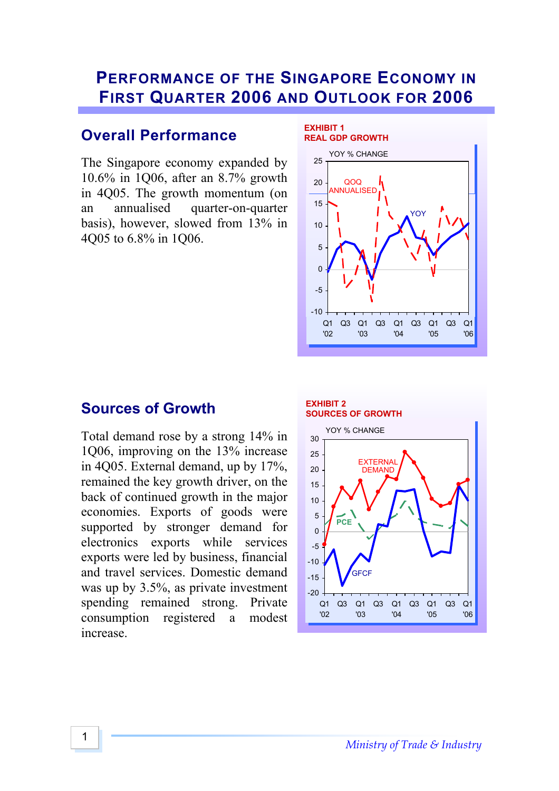# **PERFORMANCE OF THE SINGAPORE ECONOMY IN FIRST QUARTER 2006 AND OUTLOOK FOR 2006**

## **Overall Performance**

The Singapore economy expanded by 10.6% in 1Q06, after an 8.7% growth in 4Q05. The growth momentum (on an annualised quarter-on-quarter basis), however, slowed from 13% in 4Q05 to 6.8% in 1Q06.



## **Sources of Growth**

Total demand rose by a strong 14% in 1Q06, improving on the 13% increase in 4Q05. External demand, up by 17%, remained the key growth driver, on the back of continued growth in the major economies. Exports of goods were supported by stronger demand for electronics exports while services exports were led by business, financial and travel services. Domestic demand was up by 3.5%, as private investment spending remained strong. Private consumption registered a modest increase.

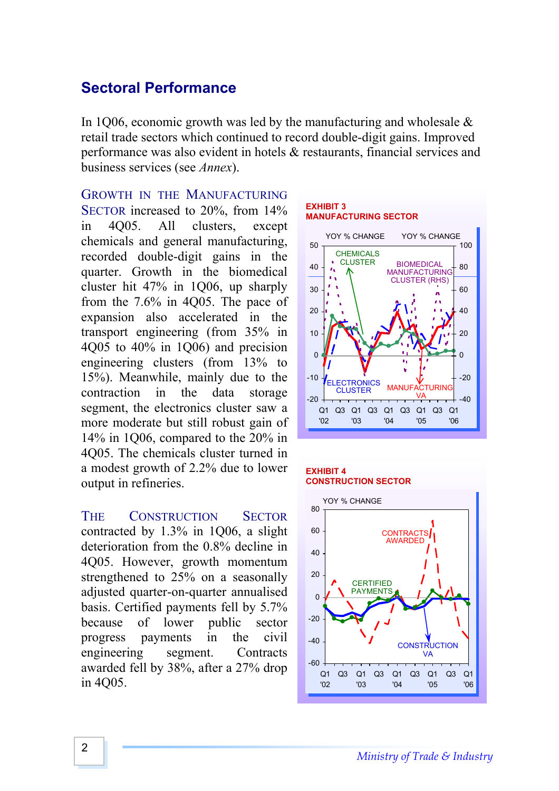## **Sectoral Performance**

In 1006, economic growth was led by the manufacturing and wholesale  $\&$ retail trade sectors which continued to record double-digit gains. Improved performance was also evident in hotels & restaurants, financial services and business services (see *Annex*).

### GROWTH IN THE MANUFACTURING

SECTOR increased to 20%, from 14% in 4Q05. All clusters, except chemicals and general manufacturing, recorded double-digit gains in the quarter. Growth in the biomedical cluster hit 47% in 1Q06, up sharply from the 7.6% in 4Q05. The pace of expansion also accelerated in the transport engineering (from 35% in 4Q05 to 40% in 1Q06) and precision engineering clusters (from 13% to 15%). Meanwhile, mainly due to the contraction in the data storage segment, the electronics cluster saw a more moderate but still robust gain of 14% in 1Q06, compared to the 20% in 4Q05. The chemicals cluster turned in a modest growth of 2.2% due to lower output in refineries.

THE CONSTRUCTION SECTOR contracted by 1.3% in 1Q06, a slight deterioration from the 0.8% decline in 4Q05. However, growth momentum strengthened to 25% on a seasonally adjusted quarter-on-quarter annualised basis. Certified payments fell by 5.7% because of lower public sector progress payments in the civil engineering segment. Contracts awarded fell by 38%, after a 27% drop in 4Q05.





#### **EXHIBIT 4 CONSTRUCTION SECTOR**

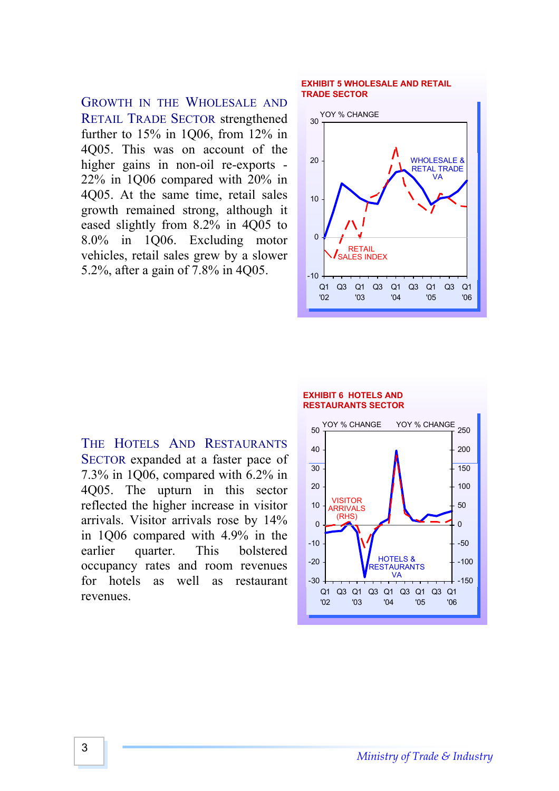GROWTH IN THE WHOLESALE AND RETAIL TRADE SECTOR strengthened further to 15% in 1Q06, from 12% in 4Q05. This was on account of the higher gains in non-oil re-exports - 22% in 1Q06 compared with 20% in 4Q05. At the same time, retail sales growth remained strong, although it eased slightly from 8.2% in 4Q05 to 8.0% in 1Q06. Excluding motor vehicles, retail sales grew by a slower 5.2%, after a gain of 7.8% in 4Q05.

#### **EXHIBIT 5 WHOLESALE AND RETAIL TRADE SECTOR**



THE HOTELS AND RESTAURANTS SECTOR expanded at a faster pace of 7.3% in 1Q06, compared with 6.2% in 4Q05. The upturn in this sector reflected the higher increase in visitor arrivals. Visitor arrivals rose by 14% in 1Q06 compared with 4.9% in the earlier quarter. This bolstered occupancy rates and room revenues for hotels as well as restaurant revenues.

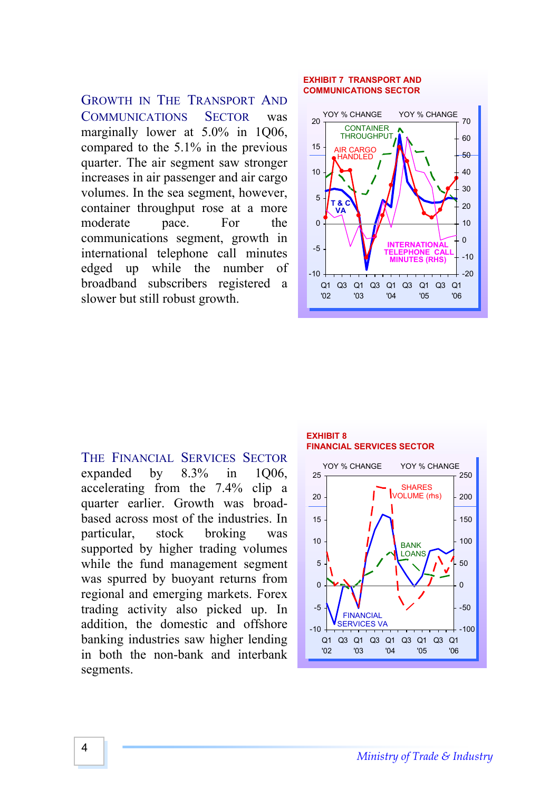GROWTH IN THE TRANSPORT AND COMMUNICATIONS SECTOR was marginally lower at 5.0% in 1Q06, compared to the 5.1% in the previous quarter. The air segment saw stronger increases in air passenger and air cargo volumes. In the sea segment, however, container throughput rose at a more moderate pace. For the communications segment, growth in international telephone call minutes edged up while the number of broadband subscribers registered a slower but still robust growth.

### **EXHIBIT 7 TRANSPORT AND COMMUNICATIONS SECTOR**



THE FINANCIAL SERVICES SECTOR expanded by 8.3% in 1Q06, accelerating from the 7.4% clip a quarter earlier. Growth was broadbased across most of the industries. In particular, stock broking was supported by higher trading volumes while the fund management segment was spurred by buoyant returns from regional and emerging markets. Forex trading activity also picked up. In addition, the domestic and offshore banking industries saw higher lending in both the non-bank and interbank segments.

#### **EXHIBIT 8 FINANCIAL SERVICES SECTOR**

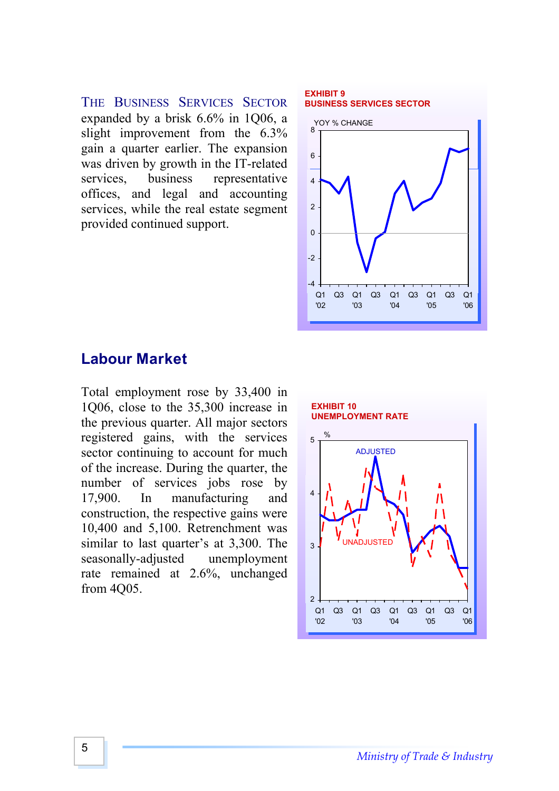THE BUSINESS SERVICES SECTOR expanded by a brisk 6.6% in 1Q06, a slight improvement from the 6.3% gain a quarter earlier. The expansion was driven by growth in the IT-related services, business representative offices, and legal and accounting services, while the real estate segment provided continued support.

#### **EXHIBIT 9 BUSINESS SERVICES SECTOR**



## **Labour Market**

Total employment rose by 33,400 in 1Q06, close to the 35,300 increase in the previous quarter. All major sectors registered gains, with the services sector continuing to account for much of the increase. During the quarter, the number of services jobs rose by 17,900. In manufacturing and construction, the respective gains were 10,400 and 5,100. Retrenchment was similar to last quarter's at 3,300. The seasonally-adjusted unemployment rate remained at 2.6%, unchanged from 4Q05.

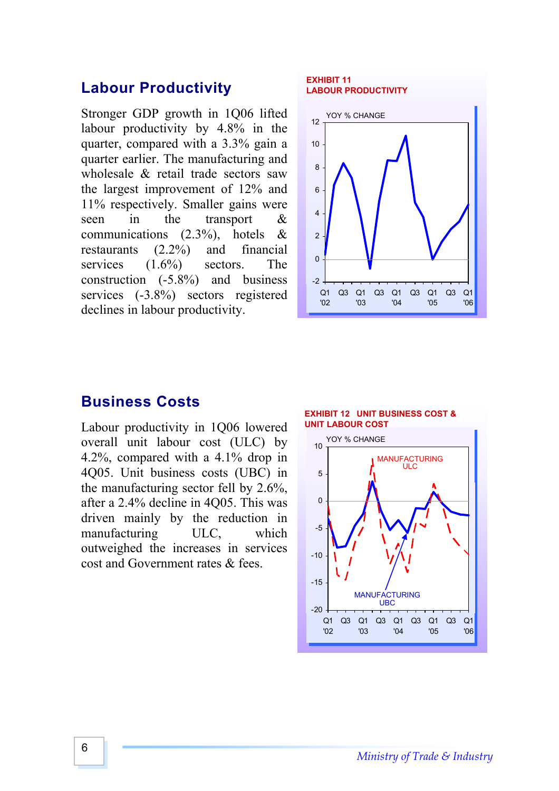### **Labour Productivity**

Stronger GDP growth in 1Q06 lifted labour productivity by 4.8% in the quarter, compared with a 3.3% gain a quarter earlier. The manufacturing and wholesale & retail trade sectors saw the largest improvement of 12% and 11% respectively. Smaller gains were seen in the transport & communications (2.3%), hotels & restaurants (2.2%) and financial services  $(1.6\%)$  sectors. The construction (-5.8%) and business services (-3.8%) sectors registered declines in labour productivity.

#### **EXHIBIT 11 LABOUR PRODUCTIVITY**



### **Business Costs**

Labour productivity in 1Q06 lowered overall unit labour cost (ULC) by 4.2%, compared with a 4.1% drop in 4Q05. Unit business costs (UBC) in the manufacturing sector fell by 2.6%, after a 2.4% decline in 4Q05. This was driven mainly by the reduction in manufacturing ULC, which outweighed the increases in services cost and Government rates & fees.



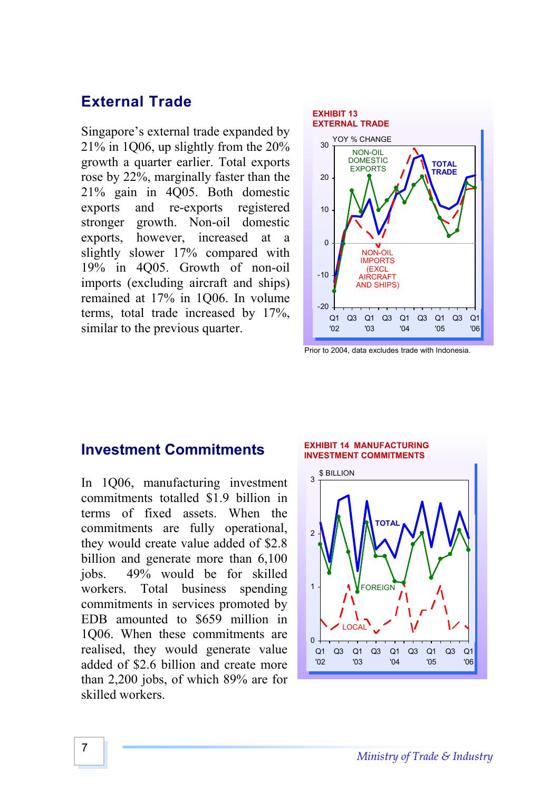## **External Trade**

Singapore's external trade expanded by 21% in 1Q06, up slightly from the 20% growth a quarter earlier. Total exports rose by 22%, marginally faster than the 21% gain in 4Q05. Both domestic exports and re-exports registered stronger growth. Non-oil domestic exports, however, increased at a slightly slower 17% compared with 19% in 4Q05. Growth of non-oil imports (excluding aircraft and ships) remained at 17% in 1Q06. In volume terms, total trade increased by 17%, similar to the previous quarter.



Prior to 2004, data excludes trade with Indonesia.

### **Investment Commitments**

In 1Q06, manufacturing investment commitments totalled \$1.9 billion in terms of fixed assets. When the commitments are fully operational, they would create value added of \$2.8 billion and generate more than 6,100 jobs. 49% would be for skilled workers. Total business spending commitments in services promoted by EDB amounted to \$659 million in 1Q06. When these commitments are realised, they would generate value added of \$2.6 billion and create more than 2,200 jobs, of which 89% are for skilled workers.

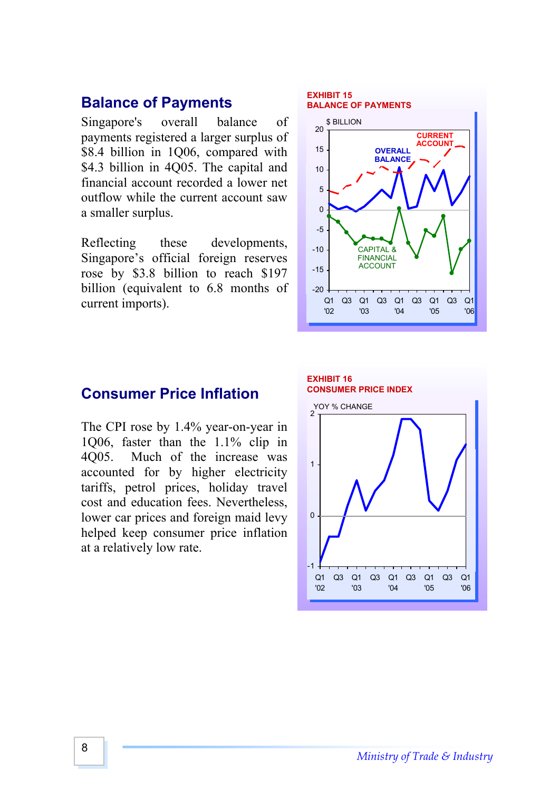## **Balance of Payments**

Singapore's overall balance of payments registered a larger surplus of \$8.4 billion in 1Q06, compared with \$4.3 billion in 4Q05. The capital and financial account recorded a lower net outflow while the current account saw a smaller surplus.

Reflecting these developments, Singapore's official foreign reserves rose by \$3.8 billion to reach \$197 billion (equivalent to 6.8 months of current imports).

#### -20 -15 0 -1 -5 0 5 10 15 20 Q1 '02 Q3 Q1 Q3 Q1 Q3 Q1 '03 '04 '05 Q3 Q1 '06 **\$ BILLION** CAPITAL & FINANCIAL ACCOUNT **OVERALL BALANCE BALANCE OF PAYMENTS CURRENT ACCOUNT**

**EXHIBIT 15**

### **Consumer Price Inflation**

The CPI rose by 1.4% year-on-year in 1Q06, faster than the 1.1% clip in 4Q05. Much of the increase was accounted for by higher electricity tariffs, petrol prices, holiday travel cost and education fees. Nevertheless, lower car prices and foreign maid levy helped keep consumer price inflation at a relatively low rate.

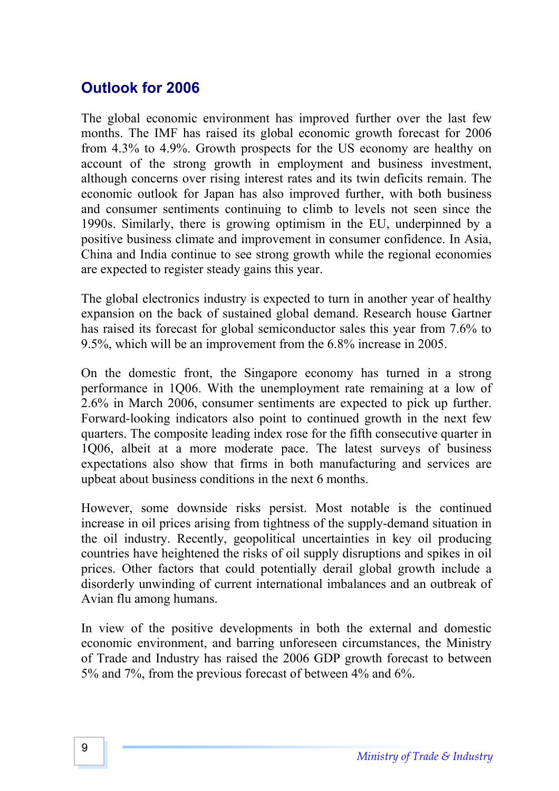# **Outlook for 2006**

The global economic environment has improved further over the last few months. The IMF has raised its global economic growth forecast for 2006 from 4.3% to 4.9%. Growth prospects for the US economy are healthy on account of the strong growth in employment and business investment, although concerns over rising interest rates and its twin deficits remain. The economic outlook for Japan has also improved further, with both business and consumer sentiments continuing to climb to levels not seen since the 1990s. Similarly, there is growing optimism in the EU, underpinned by a positive business climate and improvement in consumer confidence. In Asia, China and India continue to see strong growth while the regional economies are expected to register steady gains this year.

The global electronics industry is expected to turn in another year of healthy expansion on the back of sustained global demand. Research house Gartner has raised its forecast for global semiconductor sales this year from 7.6% to 9.5%, which will be an improvement from the 6.8% increase in 2005.

On the domestic front, the Singapore economy has turned in a strong performance in 1Q06. With the unemployment rate remaining at a low of 2.6% in March 2006, consumer sentiments are expected to pick up further. Forward-looking indicators also point to continued growth in the next few quarters. The composite leading index rose for the fifth consecutive quarter in 1Q06, albeit at a more moderate pace. The latest surveys of business expectations also show that firms in both manufacturing and services are upbeat about business conditions in the next 6 months.

However, some downside risks persist. Most notable is the continued increase in oil prices arising from tightness of the supply-demand situation in the oil industry. Recently, geopolitical uncertainties in key oil producing countries have heightened the risks of oil supply disruptions and spikes in oil prices. Other factors that could potentially derail global growth include a disorderly unwinding of current international imbalances and an outbreak of Avian flu among humans.

In view of the positive developments in both the external and domestic economic environment, and barring unforeseen circumstances, the Ministry of Trade and Industry has raised the 2006 GDP growth forecast to between 5% and 7%, from the previous forecast of between 4% and 6%.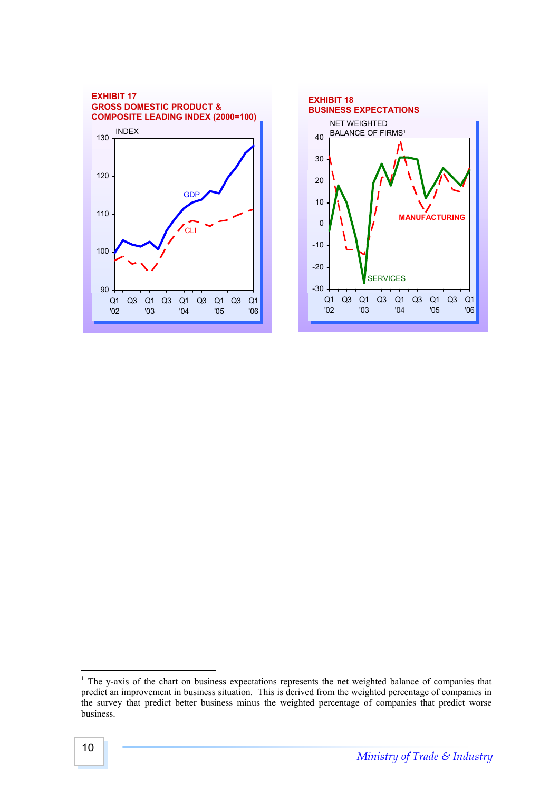



 $\frac{1}{1}$ <sup>1</sup> The y-axis of the chart on business expectations represents the net weighted balance of companies that predict an improvement in business situation. This is derived from the weighted percentage of companies in the survey that predict better business minus the weighted percentage of companies that predict worse business.